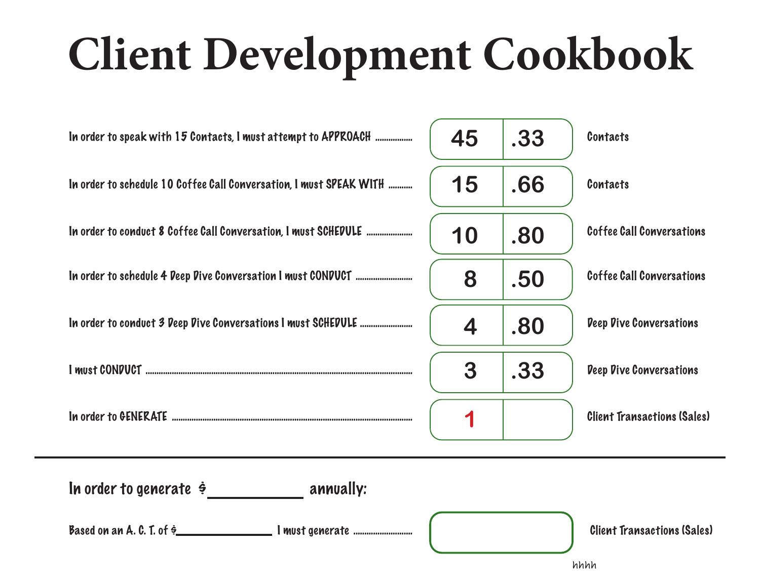## **Client Development Cookbook**

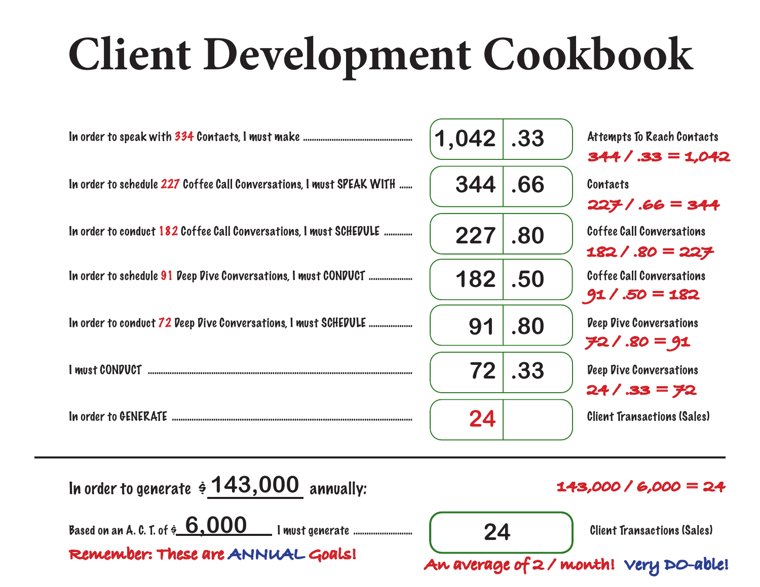## **Client Development Cookbook**



**Remember: These are ANNUAL Goals! An average of 2 / month! Very DO-able!**